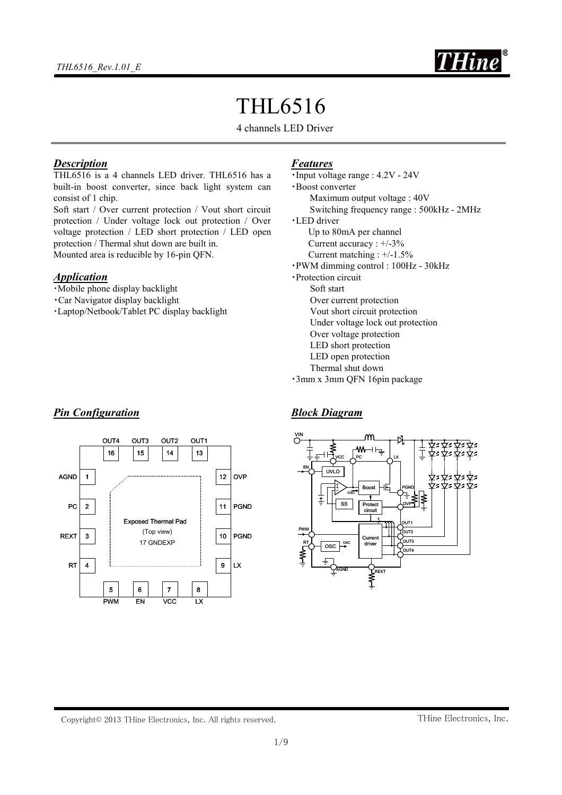

# THL6516

4 channels LED Driver

### *Description*

THL6516 is a 4 channels LED driver. THL6516 has a built-in boost converter, since back light system can consist of 1 chip.

Soft start / Over current protection / Vout short circuit protection / Under voltage lock out protection / Over voltage protection / LED short protection / LED open protection / Thermal shut down are built in. Mounted area is reducible by 16-pin QFN.

### *Application*

- ・Mobile phone display backlight
- ・Car Navigator display backlight

*Pin Configuration*

・Laptop/Netbook/Tablet PC display backlight

### *Features*

・Input voltage range : 4.2V - 24V ・Boost converter Maximum output voltage : 40V Switching frequency range : 500kHz - 2MHz ・LED driver Up to 80mA per channel Current accuracy : +/-3% Current matching : +/-1.5% ・PWM dimming control : 100Hz - 30kHz ・Protection circuit Soft start Over current protection Vout short circuit protection Under voltage lock out protection Over voltage protection LED short protection LED open protection Thermal shut down ・3mm x 3mm QFN 16pin package

### *Block Diagram*



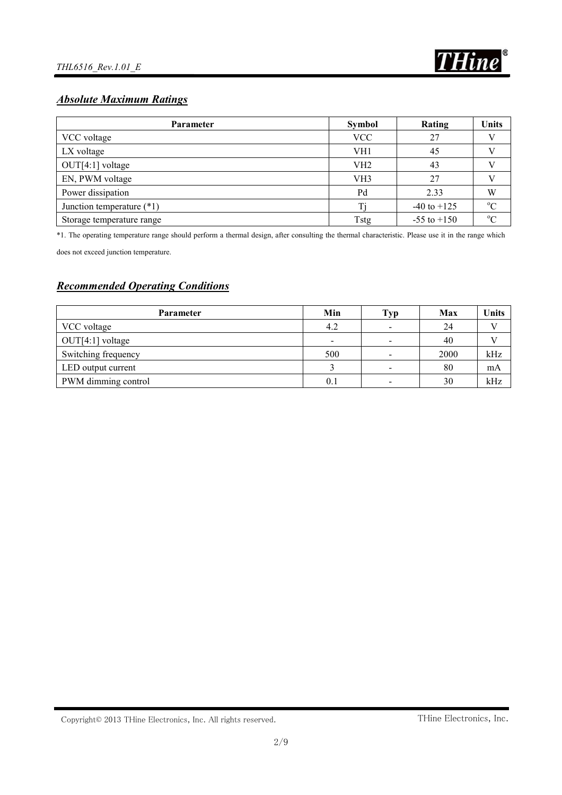

# *Absolute Maximum Ratings*

| Parameter                   | <b>Symbol</b>   | Rating          | Units       |  |
|-----------------------------|-----------------|-----------------|-------------|--|
| VCC voltage                 | <b>VCC</b>      | 27              |             |  |
| LX voltage                  | VH1             | 45              |             |  |
| $OUT[4:1]$ voltage          | VH <sub>2</sub> | 43              |             |  |
| EN, PWM voltage             | VH <sub>3</sub> | 27              |             |  |
| Power dissipation           | Pd              | 2.33            | W           |  |
| Junction temperature $(*1)$ | Ti              | $-40$ to $+125$ | $\rm ^{o}C$ |  |
| Storage temperature range   | <b>Tstg</b>     | $-55$ to $+150$ | $\rm ^{o}C$ |  |

\*1. The operating temperature range should perform a thermal design, after consulting the thermal characteristic. Please use it in the range which

does not exceed junction temperature.

# *Recommended Operating Conditions*

| <b>Parameter</b>    | Min | Typ                      | Max  | Units |
|---------------------|-----|--------------------------|------|-------|
| VCC voltage         | 4.2 | $\overline{\phantom{a}}$ | 24   |       |
| $OUT[4:1]$ voltage  |     | $\overline{\phantom{0}}$ | 40   |       |
| Switching frequency | 500 | $\overline{\phantom{a}}$ | 2000 | kHz   |
| LED output current  |     | $\overline{\phantom{0}}$ | 80   | mA    |
| PWM dimming control | 0.1 | $\overline{\phantom{a}}$ | 30   | kHz   |

Copyright© 2013 THine Electronics, Inc. All rights reserved.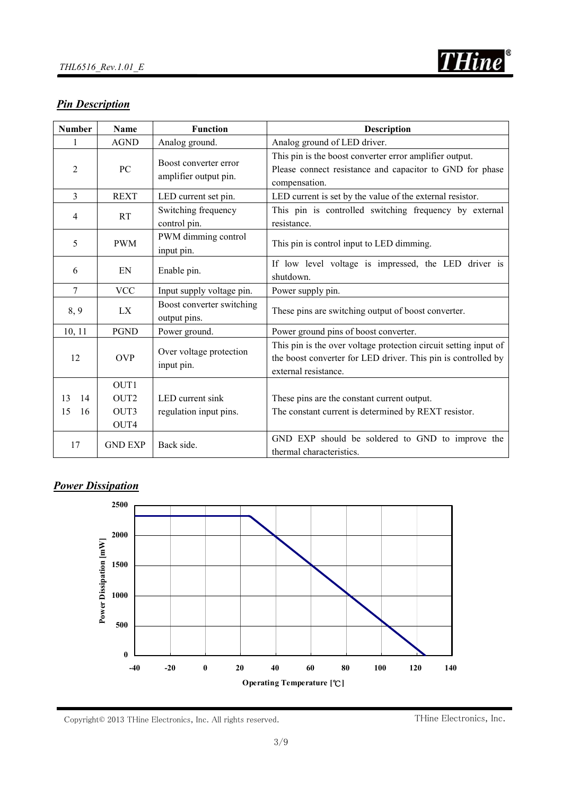

# *Pin Description*

| <b>Number</b>  | <b>Name</b>      | <b>Function</b>                                | <b>Description</b>                                                                                                                                        |  |  |
|----------------|------------------|------------------------------------------------|-----------------------------------------------------------------------------------------------------------------------------------------------------------|--|--|
| 1              | <b>AGND</b>      | Analog ground.                                 | Analog ground of LED driver.                                                                                                                              |  |  |
| 2              | PC               | Boost converter error<br>amplifier output pin. | This pin is the boost converter error amplifier output.<br>Please connect resistance and capacitor to GND for phase<br>compensation.                      |  |  |
| $\overline{3}$ | <b>REXT</b>      | LED current set pin.                           | LED current is set by the value of the external resistor.                                                                                                 |  |  |
| 4              | <b>RT</b>        | Switching frequency<br>control pin.            | This pin is controlled switching frequency by external<br>resistance.                                                                                     |  |  |
| 5              | <b>PWM</b>       | PWM dimming control<br>input pin.              | This pin is control input to LED dimming.                                                                                                                 |  |  |
| 6              | EN               | Enable pin.                                    | If low level voltage is impressed, the LED driver is<br>shutdown.                                                                                         |  |  |
| $\overline{7}$ | <b>VCC</b>       | Input supply voltage pin.                      | Power supply pin.                                                                                                                                         |  |  |
| 8, 9           | LX               | Boost converter switching<br>output pins.      | These pins are switching output of boost converter.                                                                                                       |  |  |
| 10, 11         | <b>PGND</b>      | Power ground.                                  | Power ground pins of boost converter.                                                                                                                     |  |  |
| 12             | <b>OVP</b>       | Over voltage protection<br>input pin.          | This pin is the over voltage protection circuit setting input of<br>the boost converter for LED driver. This pin is controlled by<br>external resistance. |  |  |
|                | OUT1             |                                                |                                                                                                                                                           |  |  |
| 14<br>13       | OUT <sub>2</sub> | LED current sink                               | These pins are the constant current output.                                                                                                               |  |  |
| 15<br>16       | OUT3<br>OUT4     | regulation input pins.                         | The constant current is determined by REXT resistor.                                                                                                      |  |  |
| 17             | <b>GND EXP</b>   | Back side.                                     | GND EXP should be soldered to GND to improve the<br>thermal characteristics.                                                                              |  |  |

# *Power Dissipation*

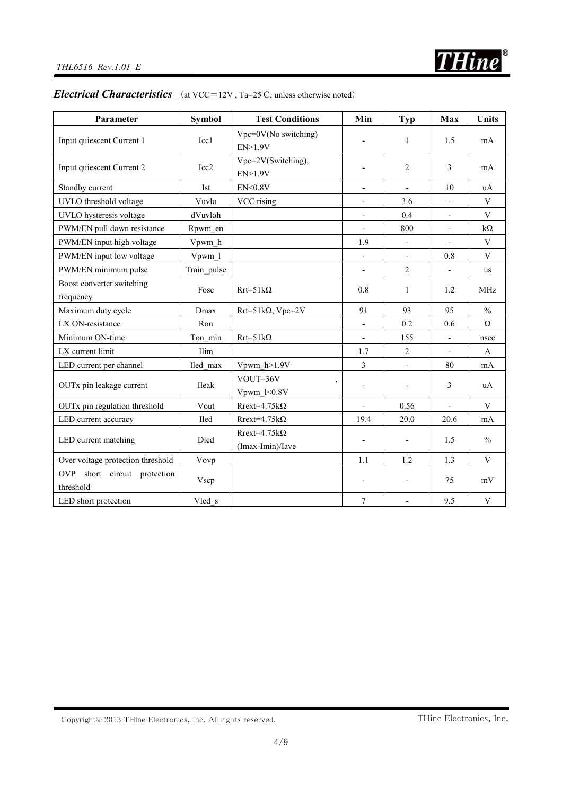# *Electrical Characteristics* (at VCC=12V, Ta=25℃, unless otherwise noted)

| Parameter                                           | <b>Symbol</b>    | <b>Test Conditions</b>                      | Min                      | <b>Typ</b>               | <b>Max</b>               | <b>Units</b>  |
|-----------------------------------------------------|------------------|---------------------------------------------|--------------------------|--------------------------|--------------------------|---------------|
| Input quiescent Current 1                           | Icc1             | Vpc=0V(No switching)<br>EN>1.9V             |                          | $\mathbf{1}$             | 1.5                      | mA            |
| Input quiescent Current 2                           | Icc <sub>2</sub> | Vpc=2V(Switching),<br>EN>1.9V               |                          | $\overline{c}$           | 3                        | mA            |
| Standby current                                     | Ist              | EN < 0.8V                                   | $\overline{\phantom{0}}$ | $\frac{1}{2}$            | 10                       | uA            |
| UVLO threshold voltage                              | Vuvlo            | VCC rising                                  | $\overline{\phantom{0}}$ | 3.6                      |                          | V             |
| UVLO hysteresis voltage                             | dVuvloh          |                                             | $\overline{a}$           | 0.4                      |                          | $\mathbf{V}$  |
| PWM/EN pull down resistance                         | Rpwm en          |                                             | $\frac{1}{2}$            | 800                      | $\overline{\phantom{a}}$ | $k\Omega$     |
| PWM/EN input high voltage                           | Vpwm h           |                                             | 1.9                      | $\overline{\phantom{a}}$ |                          | $\mathbf V$   |
| PWM/EN input low voltage                            | Vpwm 1           |                                             | $\overline{a}$           |                          | 0.8                      | $\mathbf{V}$  |
| PWM/EN minimum pulse                                | Tmin_pulse       |                                             |                          | $\overline{c}$           |                          | us            |
| Boost converter switching<br>frequency              | Fosc             | $Rrt = 51k\Omega$                           | 0.8                      | $\mathbf{1}$             | 1.2                      | <b>MHz</b>    |
| Maximum duty cycle                                  | Dmax             | $Rrt = 51k\Omega$ , Vpc=2V                  | 91                       | 93                       | 95                       | $\frac{0}{0}$ |
| LX ON-resistance                                    | Ron              |                                             | $\overline{\phantom{a}}$ | 0.2                      | 0.6                      | Ω             |
| Minimum ON-time                                     | Ton min          | $Rrt = 51k\Omega$                           | $\overline{\phantom{0}}$ | 155                      | $\overline{\phantom{a}}$ | nsec          |
| LX current limit                                    | Ilim             |                                             | 1.7                      | $\overline{2}$           | $\overline{a}$           | $\mathbf{A}$  |
| LED current per channel                             | Iled max         | Vpwm h>1.9V                                 | $\overline{3}$           | $\overline{\phantom{a}}$ | 80                       | mA            |
| OUTx pin leakage current                            | <b>Ileak</b>     | VOUT=36V<br>$\overline{ }$<br>Vpwm $1<0.8V$ | $\overline{a}$           | $\overline{\phantom{a}}$ | 3                        | uA            |
| OUTx pin regulation threshold                       | Vout             | $R$ rext=4.75 $k\Omega$                     | $\overline{a}$           | 0.56                     | $\frac{1}{2}$            | V             |
| LED current accuracy                                | Iled             | $Rreat = 4.75k\Omega$                       | 19.4                     | 20.0                     | 20.6                     | mA            |
| LED current matching                                | Dled             | $R$ rext=4.75 $k\Omega$<br>(Imax-Imin)/Iave | $\overline{\phantom{0}}$ | $\overline{\phantom{a}}$ | 1.5                      | $\frac{0}{0}$ |
| Over voltage protection threshold                   | Vovp             |                                             | 1.1                      | 1.2                      | 1.3                      | $\mathbf V$   |
| <b>OVP</b><br>short circuit protection<br>threshold | Vscp             |                                             | $\overline{\phantom{0}}$ | $\overline{\phantom{a}}$ | 75                       | $\rm mV$      |
| LED short protection                                | Vled s           |                                             | $\boldsymbol{7}$         |                          | 9.5                      | $\mathbf{V}$  |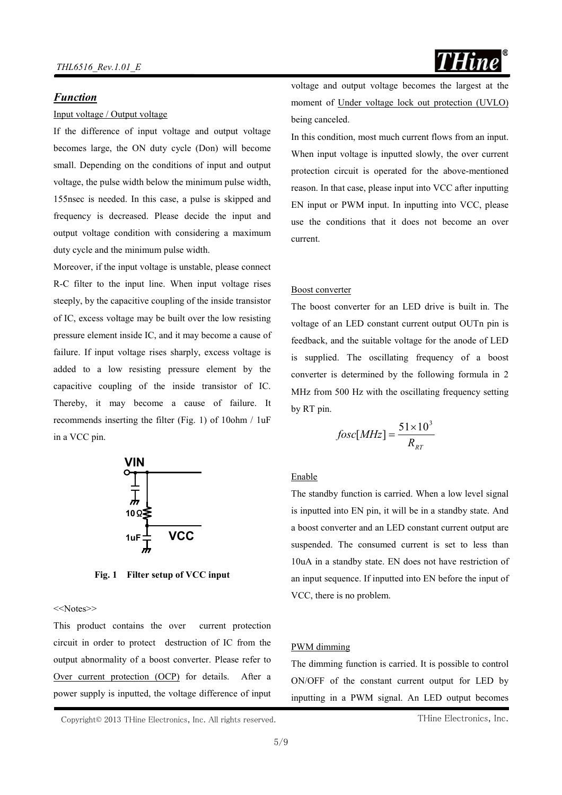### *Function*

#### Input voltage / Output voltage

If the difference of input voltage and output voltage becomes large, the ON duty cycle (Don) will become small. Depending on the conditions of input and output voltage, the pulse width below the minimum pulse width, 155nsec is needed. In this case, a pulse is skipped and frequency is decreased. Please decide the input and output voltage condition with considering a maximum duty cycle and the minimum pulse width.

Moreover, if the input voltage is unstable, please connect R-C filter to the input line. When input voltage rises steeply, by the capacitive coupling of the inside transistor of IC, excess voltage may be built over the low resisting pressure element inside IC, and it may become a cause of failure. If input voltage rises sharply, excess voltage is added to a low resisting pressure element by the capacitive coupling of the inside transistor of IC. Thereby, it may become a cause of failure. It recommends inserting the filter (Fig. 1) of 10ohm / 1uF in a VCC pin.



**Fig. 1 Filter setup of VCC input**

<<Notes>>

This product contains the over current protection circuit in order to protect destruction of IC from the output abnormality of a boost converter. Please refer to Over current protection (OCP) for details. After a power supply is inputted, the voltage difference of input voltage and output voltage becomes the largest at the moment of Under voltage lock out protection (UVLO) being canceled.

In this condition, most much current flows from an input. When input voltage is inputted slowly, the over current protection circuit is operated for the above-mentioned reason. In that case, please input into VCC after inputting EN input or PWM input. In inputting into VCC, please use the conditions that it does not become an over current.

#### Boost converter

The boost converter for an LED drive is built in. The voltage of an LED constant current output OUTn pin is feedback, and the suitable voltage for the anode of LED is supplied. The oscillating frequency of a boost converter is determined by the following formula in 2 MHz from 500 Hz with the oscillating frequency setting by RT pin.

$$
fosc[MHz] = \frac{51 \times 10^3}{R_{RT}}
$$

### Enable

The standby function is carried. When a low level signal is inputted into EN pin, it will be in a standby state. And a boost converter and an LED constant current output are suspended. The consumed current is set to less than 10uA in a standby state. EN does not have restriction of an input sequence. If inputted into EN before the input of VCC, there is no problem.

### PWM dimming

The dimming function is carried. It is possible to control ON/OFF of the constant current output for LED by inputting in a PWM signal. An LED output becomes

Copyright© 2013 THine Electronics, Inc. All rights reserved.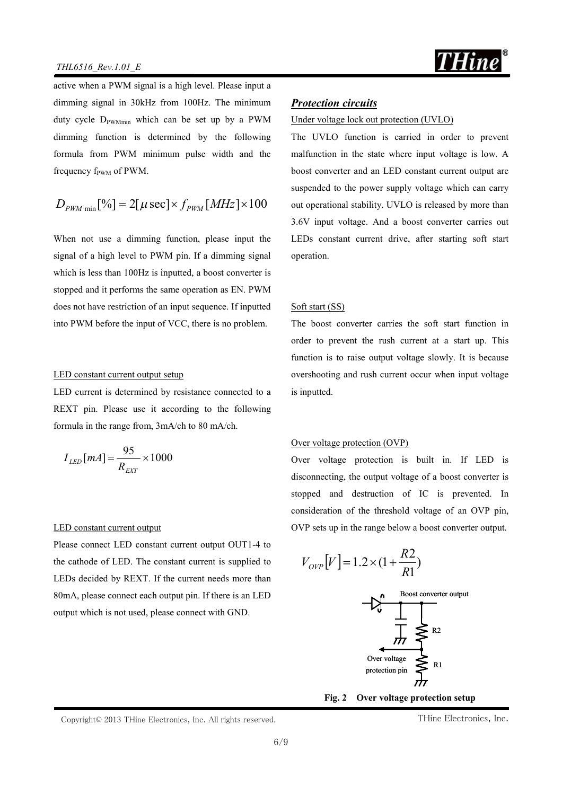

active when a PWM signal is a high level. Please input a dimming signal in 30kHz from 100Hz. The minimum duty cycle  $D_{\text{PWMmin}}$  which can be set up by a PWM dimming function is determined by the following formula from PWM minimum pulse width and the frequency  $f_{\text{PWM}}$  of PWM.

$$
D_{\scriptscriptstyle PWM \text{ min}}[\%] = 2[\mu \sec] \times f_{\scriptscriptstyle PWM} [\, MHz] \times 100
$$

When not use a dimming function, please input the signal of a high level to PWM pin. If a dimming signal which is less than 100Hz is inputted, a boost converter is stopped and it performs the same operation as EN. PWM does not have restriction of an input sequence. If inputted into PWM before the input of VCC, there is no problem.

#### LED constant current output setup

LED current is determined by resistance connected to a REXT pin. Please use it according to the following formula in the range from, 3mA/ch to 80 mA/ch.

$$
I_{LED}[mA] = \frac{95}{R_{EXT}} \times 1000
$$

#### LED constant current output

Please connect LED constant current output OUT1-4 to the cathode of LED. The constant current is supplied to LEDs decided by REXT. If the current needs more than 80mA, please connect each output pin. If there is an LED output which is not used, please connect with GND.

### *Protection circuits*

### Under voltage lock out protection (UVLO)

The UVLO function is carried in order to prevent malfunction in the state where input voltage is low. A boost converter and an LED constant current output are suspended to the power supply voltage which can carry out operational stability. UVLO is released by more than 3.6V input voltage. And a boost converter carries out LEDs constant current drive, after starting soft start operation.

#### Soft start (SS)

The boost converter carries the soft start function in order to prevent the rush current at a start up. This function is to raise output voltage slowly. It is because overshooting and rush current occur when input voltage is inputted.

#### Over voltage protection (OVP)

Over voltage protection is built in. If LED is disconnecting, the output voltage of a boost converter is stopped and destruction of IC is prevented. In consideration of the threshold voltage of an OVP pin, OVP sets up in the range below a boost converter output.

$$
V_{OVP}[V] = 1.2 \times (1 + \frac{R2}{R1})
$$



**Fig. 2 Over voltage protection setup**

Copyright© 2013 THine Electronics, Inc. All rights reserved.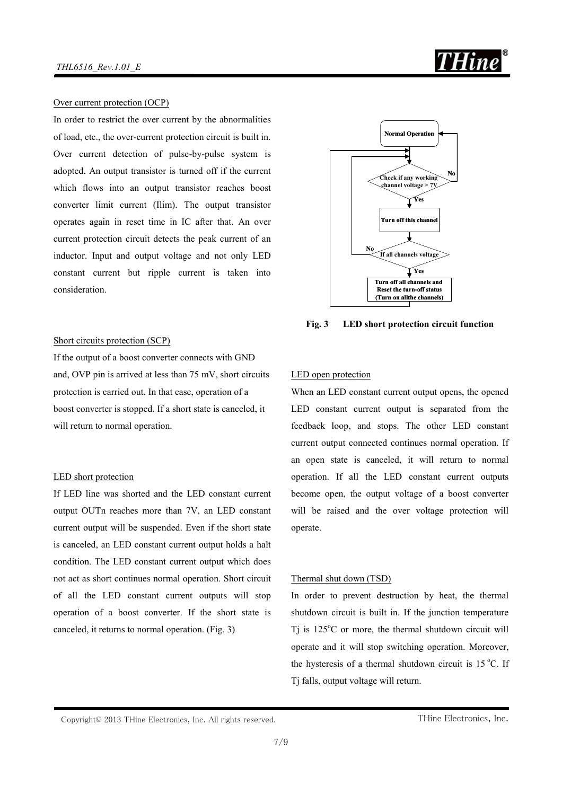

#### Over current protection (OCP)

In order to restrict the over current by the abnormalities of load, etc., the over-current protection circuit is built in. Over current detection of pulse-by-pulse system is adopted. An output transistor is turned off if the current which flows into an output transistor reaches boost converter limit current (Ilim). The output transistor operates again in reset time in IC after that. An over current protection circuit detects the peak current of an inductor. Input and output voltage and not only LED constant current but ripple current is taken into consideration.



Short circuits protection (SCP)

If the output of a boost converter connects with GND and, OVP pin is arrived at less than 75 mV, short circuits protection is carried out. In that case, operation of a boost converter is stopped. If a short state is canceled, it will return to normal operation.

#### LED short protection

If LED line was shorted and the LED constant current output OUTn reaches more than 7V, an LED constant current output will be suspended. Even if the short state is canceled, an LED constant current output holds a halt condition. The LED constant current output which does not act as short continues normal operation. Short circuit of all the LED constant current outputs will stop operation of a boost converter. If the short state is canceled, it returns to normal operation. (Fig. 3)

#### LED open protection

When an LED constant current output opens, the opened LED constant current output is separated from the feedback loop, and stops. The other LED constant current output connected continues normal operation. If an open state is canceled, it will return to normal operation. If all the LED constant current outputs become open, the output voltage of a boost converter will be raised and the over voltage protection will operate.

#### Thermal shut down (TSD)

In order to prevent destruction by heat, the thermal shutdown circuit is built in. If the junction temperature T<sub>j</sub> is  $125^{\circ}$ C or more, the thermal shutdown circuit will operate and it will stop switching operation. Moreover, the hysteresis of a thermal shutdown circuit is  $15^{\circ}$ C. If Tj falls, output voltage will return.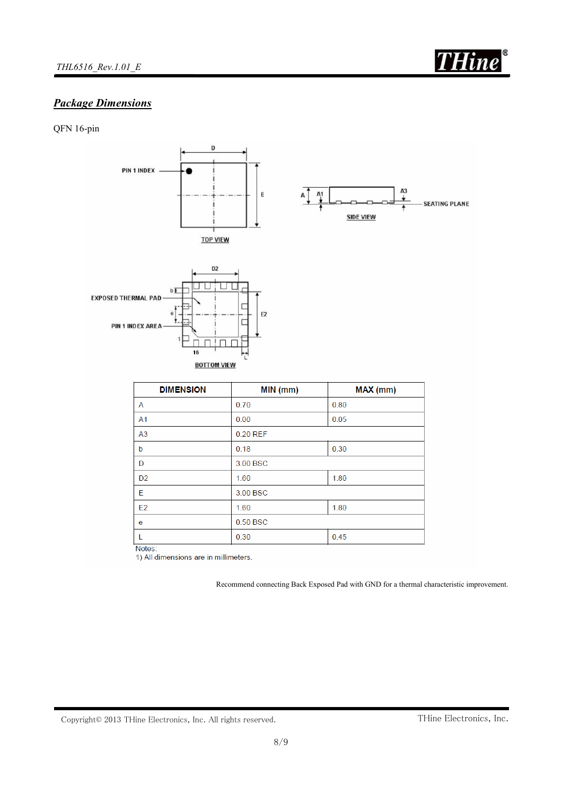

# *Package Dimensions*

QFN 16-pin



Notes:

1) All dimensions are in millimeters.

Recommend connecting Back Exposed Pad with GND for a thermal characteristic improvement.